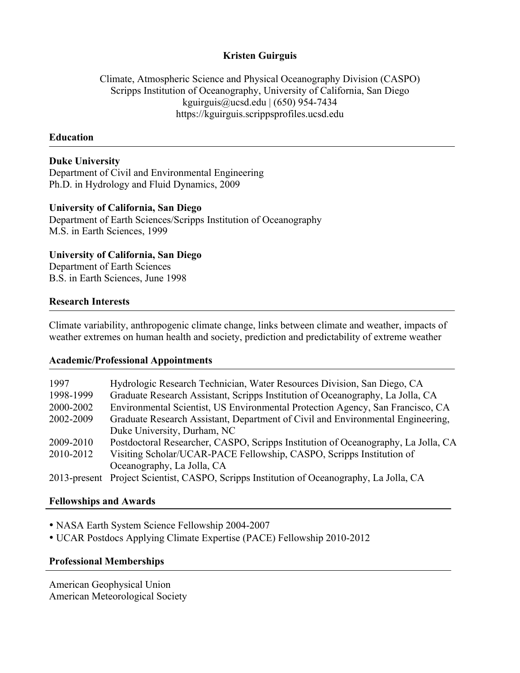## **Kristen Guirguis**

Climate, Atmospheric Science and Physical Oceanography Division (CASPO) Scripps Institution of Oceanography, University of California, San Diego kguirguis@ucsd.edu |  $(650)$  954-7434 https://kguirguis.scrippsprofiles.ucsd.edu

### **Education**

# **Duke University**

Department of Civil and Environmental Engineering Ph.D. in Hydrology and Fluid Dynamics, 2009

## **University of California, San Diego**

Department of Earth Sciences/Scripps Institution of Oceanography M.S. in Earth Sciences, 1999

## **University of California, San Diego**

Department of Earth Sciences B.S. in Earth Sciences, June 1998

## **Research Interests**

Climate variability, anthropogenic climate change, links between climate and weather, impacts of weather extremes on human health and society, prediction and predictability of extreme weather

### **Academic/Professional Appointments**

| 1997         | Hydrologic Research Technician, Water Resources Division, San Diego, CA           |
|--------------|-----------------------------------------------------------------------------------|
| 1998-1999    | Graduate Research Assistant, Scripps Institution of Oceanography, La Jolla, CA    |
| 2000-2002    | Environmental Scientist, US Environmental Protection Agency, San Francisco, CA    |
| 2002-2009    | Graduate Research Assistant, Department of Civil and Environmental Engineering,   |
|              | Duke University, Durham, NC                                                       |
| 2009-2010    | Postdoctoral Researcher, CASPO, Scripps Institution of Oceanography, La Jolla, CA |
| 2010-2012    | Visiting Scholar/UCAR-PACE Fellowship, CASPO, Scripps Institution of              |
|              | Oceanography, La Jolla, CA                                                        |
| 2013-present | Project Scientist, CASPO, Scripps Institution of Oceanography, La Jolla, CA       |

### **Fellowships and Awards**

• NASA Earth System Science Fellowship 2004-2007

• UCAR Postdocs Applying Climate Expertise (PACE) Fellowship 2010-2012

### **Professional Memberships**

American Geophysical Union American Meteorological Society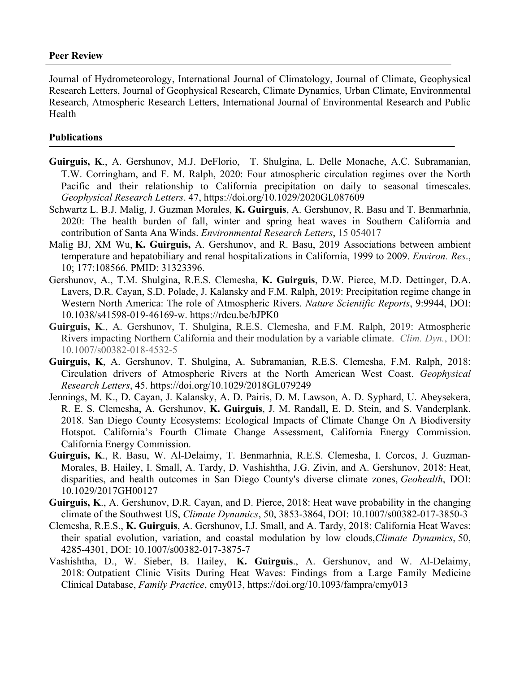#### **Peer Review**

Journal of Hydrometeorology, International Journal of Climatology, Journal of Climate, Geophysical Research Letters, Journal of Geophysical Research, Climate Dynamics, Urban Climate, Environmental Research, Atmospheric Research Letters, International Journal of Environmental Research and Public Health

#### **Publications**

- **Guirguis, K**., A. Gershunov, M.J. DeFlorio, T. Shulgina, L. Delle Monache, A.C. Subramanian, T.W. Corringham, and F. M. Ralph, 2020: Four atmospheric circulation regimes over the North Pacific and their relationship to California precipitation on daily to seasonal timescales. *Geophysical Research Letters*. 47, https://doi.org/10.1029/2020GL087609
- Schwartz L. B.J. Malig, J. Guzman Morales, **K. Guirguis**, A. Gershunov, R. Basu and T. Benmarhnia, 2020: The health burden of fall, winter and spring heat waves in Southern California and contribution of Santa Ana Winds. *Environmental Research Letters*, 15 054017
- Malig BJ, XM Wu, **K. Guirguis,** A. Gershunov, and R. Basu, 2019 Associations between ambient temperature and hepatobiliary and renal hospitalizations in California, 1999 to 2009. *Environ. Res*., 10; 177:108566. PMID: 31323396.
- Gershunov, A., T.M. Shulgina, R.E.S. Clemesha, **K. Guirguis**, D.W. Pierce, M.D. Dettinger, D.A. Lavers, D.R. Cayan, S.D. Polade, J. Kalansky and F.M. Ralph, 2019: Precipitation regime change in Western North America: The role of Atmospheric Rivers. *Nature Scientific Reports*, 9:9944, DOI: 10.1038/s41598-019-46169-w. https://rdcu.be/bJPK0
- **Guirguis, K**., A. Gershunov, T. Shulgina, R.E.S. Clemesha, and F.M. Ralph, 2019: Atmospheric Rivers impacting Northern California and their modulation by a variable climate. *Clim. Dyn.*, DOI: 10.1007/s00382-018-4532-5
- **Guirguis, K**, A. Gershunov, T. Shulgina, A. Subramanian, R.E.S. Clemesha, F.M. Ralph, 2018: Circulation drivers of Atmospheric Rivers at the North American West Coast. *Geophysical Research Letters*, 45. https://doi.org/10.1029/2018GL079249
- Jennings, M. K., D. Cayan, J. Kalansky, A. D. Pairis, D. M. Lawson, A. D. Syphard, U. Abeysekera, R. E. S. Clemesha, A. Gershunov, **K. Guirguis**, J. M. Randall, E. D. Stein, and S. Vanderplank. 2018. San Diego County Ecosystems: Ecological Impacts of Climate Change On A Biodiversity Hotspot. California's Fourth Climate Change Assessment, California Energy Commission. California Energy Commission.
- **Guirguis, K**., R. Basu, W. Al-Delaimy, T. Benmarhnia, R.E.S. Clemesha, I. Corcos, J. Guzman-Morales, B. Hailey, I. Small, A. Tardy, D. Vashishtha, J.G. Zivin, and A. Gershunov, 2018: Heat, disparities, and health outcomes in San Diego County's diverse climate zones, *Geohealth*, DOI: 10.1029/2017GH00127
- **Guirguis, K**., A. Gershunov, D.R. Cayan, and D. Pierce, 2018: Heat wave probability in the changing climate of the Southwest US, *Climate Dynamics*, 50, 3853-3864, DOI: 10.1007/s00382-017-3850-3
- Clemesha, R.E.S., **K. Guirguis**, A. Gershunov, I.J. Small, and A. Tardy, 2018: California Heat Waves: their spatial evolution, variation, and coastal modulation by low clouds,*Climate Dynamics*, 50, 4285-4301, DOI: 10.1007/s00382-017-3875-7
- Vashishtha, D., W. Sieber, B. Hailey, **K. Guirguis**., A. Gershunov, and W. Al-Delaimy, 2018: Outpatient Clinic Visits During Heat Waves: Findings from a Large Family Medicine Clinical Database, *Family Practice*, cmy013, https://doi.org/10.1093/fampra/cmy013